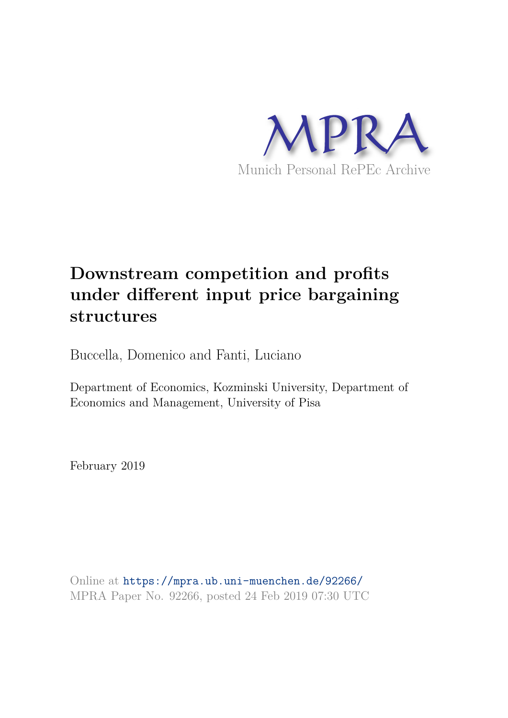

# **Downstream competition and profits under different input price bargaining structures**

Buccella, Domenico and Fanti, Luciano

Department of Economics, Kozminski University, Department of Economics and Management, University of Pisa

February 2019

Online at https://mpra.ub.uni-muenchen.de/92266/ MPRA Paper No. 92266, posted 24 Feb 2019 07:30 UTC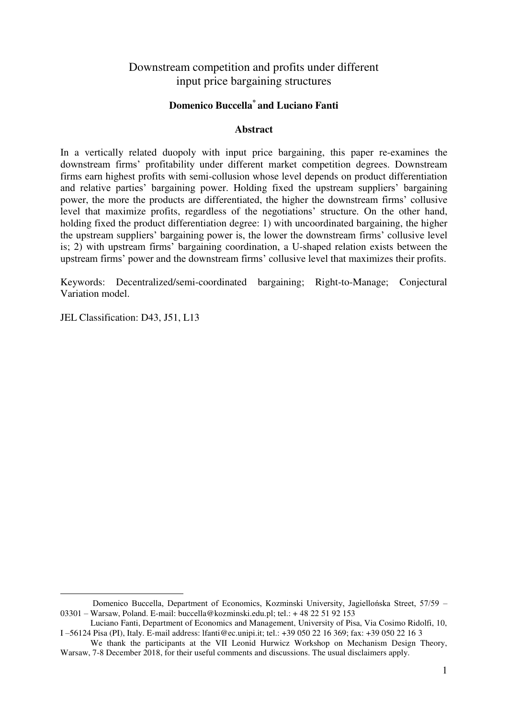# Downstream competition and profits under different input price bargaining structures

## **Domenico Buccella\* and Luciano Fanti**

## **Abstract**

In a vertically related duopoly with input price bargaining, this paper re-examines the downstream firms' profitability under different market competition degrees. Downstream firms earn highest profits with semi-collusion whose level depends on product differentiation and relative parties' bargaining power. Holding fixed the upstream suppliers' bargaining power, the more the products are differentiated, the higher the downstream firms' collusive level that maximize profits, regardless of the negotiations' structure. On the other hand, holding fixed the product differentiation degree: 1) with uncoordinated bargaining, the higher the upstream suppliers' bargaining power is, the lower the downstream firms' collusive level is; 2) with upstream firms' bargaining coordination, a U-shaped relation exists between the upstream firms' power and the downstream firms' collusive level that maximizes their profits.

Keywords: Decentralized/semi-coordinated bargaining; Right-to-Manage; Conjectural Variation model.

JEL Classification: D43, J51, L13

-

Domenico Buccella, Department of Economics, Kozminski University, Jagiellońska Street, 57/59 – 03301 – Warsaw, Poland. E-mail: buccella@kozminski.edu.pl; tel.: + 48 22 51 92 153

Luciano Fanti, Department of Economics and Management, University of Pisa, Via Cosimo Ridolfi, 10, I –56124 Pisa (PI), Italy. E-mail address: lfanti@ec.unipi.it; tel.: +39 050 22 16 369; fax: +39 050 22 16 3

We thank the participants at the VII Leonid Hurwicz Workshop on Mechanism Design Theory, Warsaw, 7-8 December 2018, for their useful comments and discussions. The usual disclaimers apply.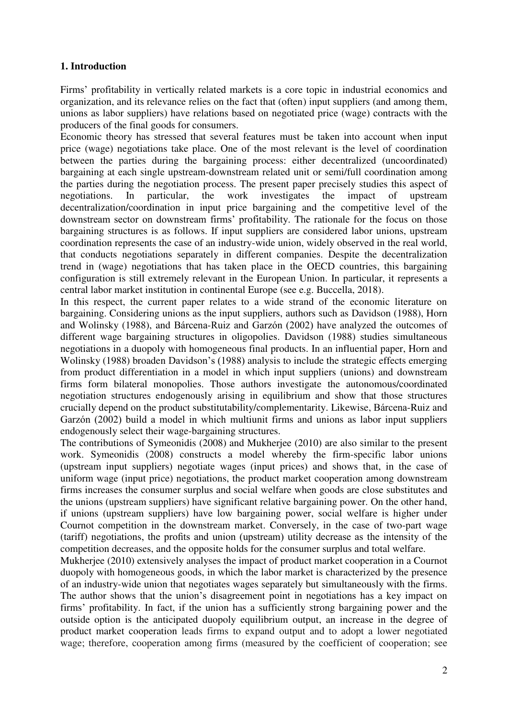## **1. Introduction**

Firms' profitability in vertically related markets is a core topic in industrial economics and organization, and its relevance relies on the fact that (often) input suppliers (and among them, unions as labor suppliers) have relations based on negotiated price (wage) contracts with the producers of the final goods for consumers.

Economic theory has stressed that several features must be taken into account when input price (wage) negotiations take place. One of the most relevant is the level of coordination between the parties during the bargaining process: either decentralized (uncoordinated) bargaining at each single upstream-downstream related unit or semi/full coordination among the parties during the negotiation process. The present paper precisely studies this aspect of negotiations. In particular, the work investigates the impact of upstream decentralization/coordination in input price bargaining and the competitive level of the downstream sector on downstream firms' profitability. The rationale for the focus on those bargaining structures is as follows. If input suppliers are considered labor unions, upstream coordination represents the case of an industry-wide union, widely observed in the real world, that conducts negotiations separately in different companies. Despite the decentralization trend in (wage) negotiations that has taken place in the OECD countries, this bargaining configuration is still extremely relevant in the European Union. In particular, it represents a central labor market institution in continental Europe (see e.g. Buccella, 2018).

In this respect, the current paper relates to a wide strand of the economic literature on bargaining. Considering unions as the input suppliers, authors such as Davidson (1988), Horn and Wolinsky (1988), and Bárcena-Ruiz and Garzón (2002) have analyzed the outcomes of different wage bargaining structures in oligopolies. Davidson (1988) studies simultaneous negotiations in a duopoly with homogeneous final products. In an influential paper, Horn and Wolinsky (1988) broaden Davidson's (1988) analysis to include the strategic effects emerging from product differentiation in a model in which input suppliers (unions) and downstream firms form bilateral monopolies. Those authors investigate the autonomous/coordinated negotiation structures endogenously arising in equilibrium and show that those structures crucially depend on the product substitutability/complementarity. Likewise, Bárcena-Ruiz and Garzón (2002) build a model in which multiunit firms and unions as labor input suppliers endogenously select their wage-bargaining structures.

The contributions of Symeonidis (2008) and Mukherjee (2010) are also similar to the present work. Symeonidis (2008) constructs a model whereby the firm-specific labor unions (upstream input suppliers) negotiate wages (input prices) and shows that, in the case of uniform wage (input price) negotiations, the product market cooperation among downstream firms increases the consumer surplus and social welfare when goods are close substitutes and the unions (upstream suppliers) have significant relative bargaining power. On the other hand, if unions (upstream suppliers) have low bargaining power, social welfare is higher under Cournot competition in the downstream market. Conversely, in the case of two-part wage (tariff) negotiations, the profits and union (upstream) utility decrease as the intensity of the competition decreases, and the opposite holds for the consumer surplus and total welfare.

Mukherjee (2010) extensively analyses the impact of product market cooperation in a Cournot duopoly with homogeneous goods, in which the labor market is characterized by the presence of an industry-wide union that negotiates wages separately but simultaneously with the firms. The author shows that the union's disagreement point in negotiations has a key impact on firms' profitability. In fact, if the union has a sufficiently strong bargaining power and the outside option is the anticipated duopoly equilibrium output, an increase in the degree of product market cooperation leads firms to expand output and to adopt a lower negotiated wage; therefore, cooperation among firms (measured by the coefficient of cooperation; see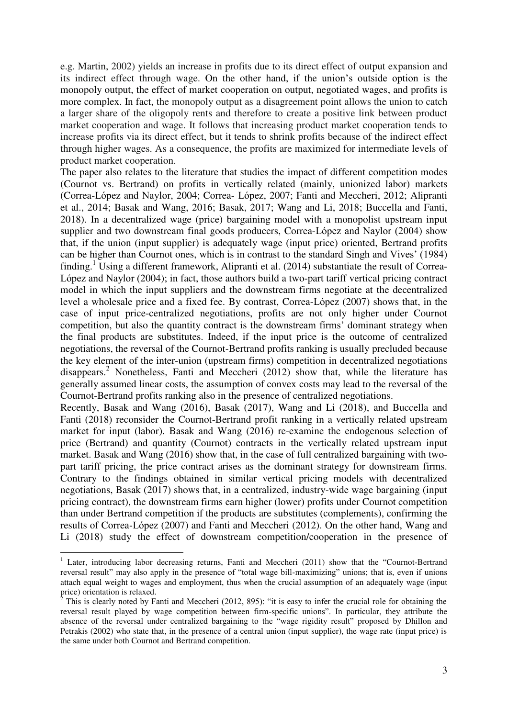e.g. Martin, 2002) yields an increase in profits due to its direct effect of output expansion and its indirect effect through wage. On the other hand, if the union's outside option is the monopoly output, the effect of market cooperation on output, negotiated wages, and profits is more complex. In fact, the monopoly output as a disagreement point allows the union to catch a larger share of the oligopoly rents and therefore to create a positive link between product market cooperation and wage. It follows that increasing product market cooperation tends to increase profits via its direct effect, but it tends to shrink profits because of the indirect effect through higher wages. As a consequence, the profits are maximized for intermediate levels of product market cooperation.

The paper also relates to the literature that studies the impact of different competition modes (Cournot vs. Bertrand) on profits in vertically related (mainly, unionized labor) markets (Correa-López and Naylor, 2004; Correa- López, 2007; Fanti and Meccheri, 2012; Alipranti et al., 2014; Basak and Wang, 2016; Basak, 2017; Wang and Li, 2018; Buccella and Fanti, 2018). In a decentralized wage (price) bargaining model with a monopolist upstream input supplier and two downstream final goods producers, Correa-López and Naylor (2004) show that, if the union (input supplier) is adequately wage (input price) oriented, Bertrand profits can be higher than Cournot ones, which is in contrast to the standard Singh and Vives' (1984) finding.<sup>1</sup> Using a different framework, Alipranti et al. (2014) substantiate the result of Correa-López and Naylor (2004); in fact, those authors build a two-part tariff vertical pricing contract model in which the input suppliers and the downstream firms negotiate at the decentralized level a wholesale price and a fixed fee. By contrast, Correa-López (2007) shows that, in the case of input price-centralized negotiations, profits are not only higher under Cournot competition, but also the quantity contract is the downstream firms' dominant strategy when the final products are substitutes. Indeed, if the input price is the outcome of centralized negotiations, the reversal of the Cournot-Bertrand profits ranking is usually precluded because the key element of the inter-union (upstream firms) competition in decentralized negotiations disappears.<sup>2</sup> Nonetheless, Fanti and Meccheri (2012) show that, while the literature has generally assumed linear costs, the assumption of convex costs may lead to the reversal of the Cournot-Bertrand profits ranking also in the presence of centralized negotiations.

Recently, Basak and Wang (2016), Basak (2017), Wang and Li (2018), and Buccella and Fanti (2018) reconsider the Cournot-Bertrand profit ranking in a vertically related upstream market for input (labor). Basak and Wang (2016) re-examine the endogenous selection of price (Bertrand) and quantity (Cournot) contracts in the vertically related upstream input market. Basak and Wang (2016) show that, in the case of full centralized bargaining with twopart tariff pricing, the price contract arises as the dominant strategy for downstream firms. Contrary to the findings obtained in similar vertical pricing models with decentralized negotiations, Basak (2017) shows that, in a centralized, industry-wide wage bargaining (input pricing contract), the downstream firms earn higher (lower) profits under Cournot competition than under Bertrand competition if the products are substitutes (complements), confirming the results of Correa-López (2007) and Fanti and Meccheri (2012). On the other hand, Wang and Li (2018) study the effect of downstream competition/cooperation in the presence of

<u>.</u>

<sup>&</sup>lt;sup>1</sup> Later, introducing labor decreasing returns, Fanti and Meccheri (2011) show that the "Cournot-Bertrand reversal result" may also apply in the presence of "total wage bill-maximizing" unions; that is, even if unions attach equal weight to wages and employment, thus when the crucial assumption of an adequately wage (input price) orientation is relaxed.

 $2^2$  This is clearly noted by Fanti and Meccheri (2012, 895): "it is easy to infer the crucial role for obtaining the reversal result played by wage competition between firm-specific unions". In particular, they attribute the absence of the reversal under centralized bargaining to the "wage rigidity result" proposed by Dhillon and Petrakis (2002) who state that, in the presence of a central union (input supplier), the wage rate (input price) is the same under both Cournot and Bertrand competition.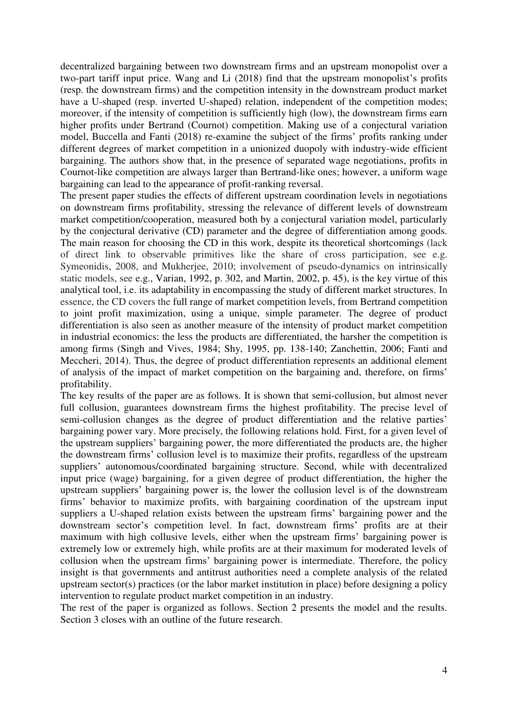decentralized bargaining between two downstream firms and an upstream monopolist over a two-part tariff input price. Wang and Li (2018) find that the upstream monopolist's profits (resp. the downstream firms) and the competition intensity in the downstream product market have a U-shaped (resp. inverted U-shaped) relation, independent of the competition modes; moreover, if the intensity of competition is sufficiently high (low), the downstream firms earn higher profits under Bertrand (Cournot) competition. Making use of a conjectural variation model, Buccella and Fanti (2018) re-examine the subject of the firms' profits ranking under different degrees of market competition in a unionized duopoly with industry-wide efficient bargaining. The authors show that, in the presence of separated wage negotiations, profits in Cournot-like competition are always larger than Bertrand-like ones; however, a uniform wage bargaining can lead to the appearance of profit-ranking reversal.

The present paper studies the effects of different upstream coordination levels in negotiations on downstream firms profitability, stressing the relevance of different levels of downstream market competition/cooperation, measured both by a conjectural variation model, particularly by the conjectural derivative (CD) parameter and the degree of differentiation among goods. The main reason for choosing the CD in this work, despite its theoretical shortcomings (lack of direct link to observable primitives like the share of cross participation, see e.g. Symeonidis, 2008, and Mukherjee, 2010; involvement of pseudo-dynamics on intrinsically static models, see e.g., Varian, 1992, p. 302, and Martin, 2002, p. 45), is the key virtue of this analytical tool, i.e. its adaptability in encompassing the study of different market structures. In essence, the CD covers the full range of market competition levels, from Bertrand competition to joint profit maximization, using a unique, simple parameter. The degree of product differentiation is also seen as another measure of the intensity of product market competition in industrial economics: the less the products are differentiated, the harsher the competition is among firms (Singh and Vives, 1984; Shy, 1995, pp. 138-140; Zanchettin, 2006; Fanti and Meccheri, 2014). Thus, the degree of product differentiation represents an additional element of analysis of the impact of market competition on the bargaining and, therefore, on firms' profitability.

The key results of the paper are as follows. It is shown that semi-collusion, but almost never full collusion, guarantees downstream firms the highest profitability. The precise level of semi-collusion changes as the degree of product differentiation and the relative parties' bargaining power vary. More precisely, the following relations hold. First, for a given level of the upstream suppliers' bargaining power, the more differentiated the products are, the higher the downstream firms' collusion level is to maximize their profits, regardless of the upstream suppliers' autonomous/coordinated bargaining structure. Second, while with decentralized input price (wage) bargaining, for a given degree of product differentiation, the higher the upstream suppliers' bargaining power is, the lower the collusion level is of the downstream firms' behavior to maximize profits, with bargaining coordination of the upstream input suppliers a U-shaped relation exists between the upstream firms' bargaining power and the downstream sector's competition level. In fact, downstream firms' profits are at their maximum with high collusive levels, either when the upstream firms' bargaining power is extremely low or extremely high, while profits are at their maximum for moderated levels of collusion when the upstream firms' bargaining power is intermediate. Therefore, the policy insight is that governments and antitrust authorities need a complete analysis of the related upstream sector(s) practices (or the labor market institution in place) before designing a policy intervention to regulate product market competition in an industry.

The rest of the paper is organized as follows. Section 2 presents the model and the results. Section 3 closes with an outline of the future research.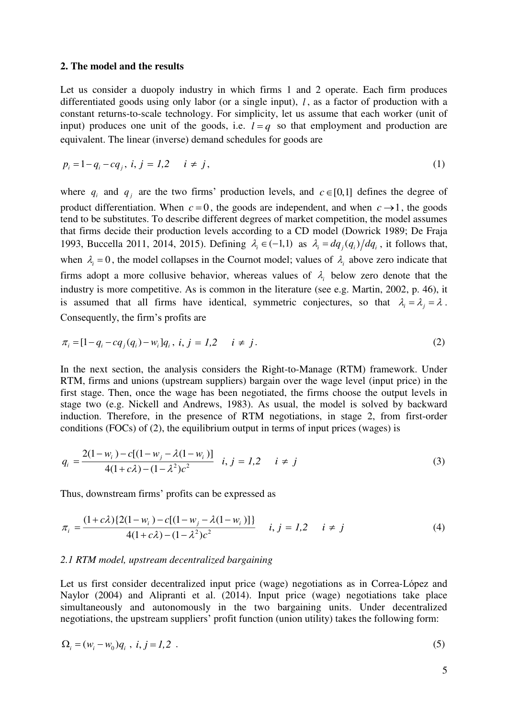#### **2. The model and the results**

Let us consider a duopoly industry in which firms 1 and 2 operate. Each firm produces differentiated goods using only labor (or a single input), *l*, as a factor of production with a constant returns-to-scale technology. For simplicity, let us assume that each worker (unit of input) produces one unit of the goods, i.e.  $l = q$  so that employment and production are equivalent. The linear (inverse) demand schedules for goods are

$$
p_i = 1 - q_i - cq_j, \ i, j = 1, 2 \quad i \neq j,
$$
\n(1)

where  $q_i$  and  $q_j$  are the two firms' production levels, and  $c \in [0,1]$  defines the degree of product differentiation. When  $c = 0$ , the goods are independent, and when  $c \rightarrow 1$ , the goods tend to be substitutes. To describe different degrees of market competition, the model assumes that firms decide their production levels according to a CD model (Dowrick 1989; De Fraja 1993, Buccella 2011, 2014, 2015). Defining  $\lambda_i \in (-1,1)$  as  $\lambda_i = dq_i(q_i)/dq_i$ , it follows that, when  $\lambda_i = 0$ , the model collapses in the Cournot model; values of  $\lambda_i$  above zero indicate that firms adopt a more collusive behavior, whereas values of  $\lambda_i$  below zero denote that the industry is more competitive. As is common in the literature (see e.g. Martin, 2002, p. 46), it is assumed that all firms have identical, symmetric conjectures, so that  $\lambda_i = \lambda_i = \lambda$ . Consequently, the firm's profits are

$$
\pi_i = [1 - q_i - c q_j(q_i) - w_i]q_i, \ i, j = 1, 2 \quad i \neq j. \tag{2}
$$

In the next section, the analysis considers the Right-to-Manage (RTM) framework. Under RTM, firms and unions (upstream suppliers) bargain over the wage level (input price) in the first stage. Then, once the wage has been negotiated, the firms choose the output levels in stage two (e.g. Nickell and Andrews, 1983). As usual, the model is solved by backward induction. Therefore, in the presence of RTM negotiations, in stage 2, from first-order conditions (FOCs) of (2), the equilibrium output in terms of input prices (wages) is

$$
q_i = \frac{2(1 - w_i) - c[(1 - w_j - \lambda(1 - w_i))]}{4(1 + c\lambda) - (1 - \lambda^2)c^2} \quad i, j = 1, 2 \quad i \neq j
$$
\n(3)

Thus, downstream firms' profits can be expressed as

$$
\pi_i = \frac{(1+c\lambda)\{2(1-w_i) - c[(1-w_j - \lambda(1-w_i))]\}}{4(1+c\lambda) - (1-\lambda^2)c^2} \quad i, j = 1, 2 \quad i \neq j \tag{4}
$$

#### *2.1 RTM model, upstream decentralized bargaining*

Let us first consider decentralized input price (wage) negotiations as in Correa-López and Naylor (2004) and Alipranti et al. (2014). Input price (wage) negotiations take place simultaneously and autonomously in the two bargaining units. Under decentralized negotiations, the upstream suppliers' profit function (union utility) takes the following form:

$$
\Omega_i = (w_i - w_0)q_i \, , \, i, j = 1, 2 \, . \tag{5}
$$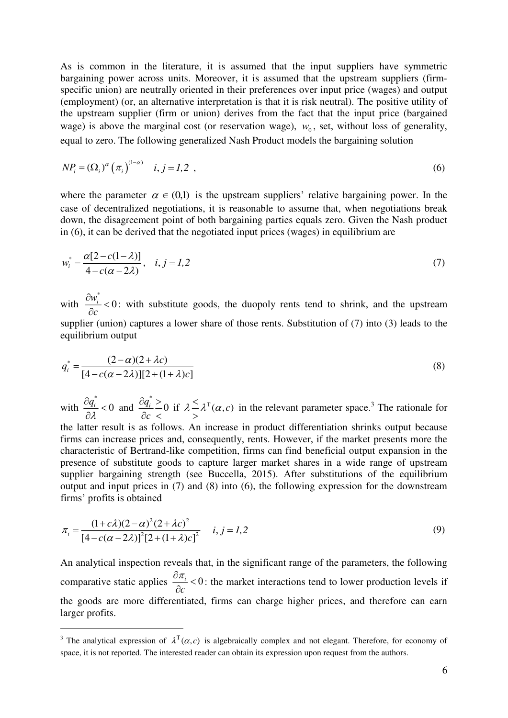As is common in the literature, it is assumed that the input suppliers have symmetric bargaining power across units. Moreover, it is assumed that the upstream suppliers (firmspecific union) are neutrally oriented in their preferences over input price (wages) and output (employment) (or, an alternative interpretation is that it is risk neutral). The positive utility of the upstream supplier (firm or union) derives from the fact that the input price (bargained wage) is above the marginal cost (or reservation wage),  $w_0$ , set, without loss of generality, equal to zero. The following generalized Nash Product models the bargaining solution

$$
NP_i = (\Omega_i)^{\alpha} \left( \pi_i \right)^{(1-\alpha)} \quad i, j = 1, 2 \tag{6}
$$

where the parameter  $\alpha \in (0,1)$  is the upstream suppliers' relative bargaining power. In the case of decentralized negotiations, it is reasonable to assume that, when negotiations break down, the disagreement point of both bargaining parties equals zero. Given the Nash product in (6), it can be derived that the negotiated input prices (wages) in equilibrium are

$$
w_i^* = \frac{\alpha[2 - c(1 - \lambda)]}{4 - c(\alpha - 2\lambda)}, \quad i, j = 1, 2
$$
 (7)

with  $\frac{w_i^*}{\sqrt{2}}$  < 0 *c*  $\frac{\partial w_i^*}{\partial c}$  < 0: with substitute goods, the duopoly rents tend to shrink, and the upstream supplier (union) captures a lower share of those rents. Substitution of (7) into (3) leads to the equilibrium output

$$
q_i^* = \frac{(2-\alpha)(2+\lambda c)}{[4-c(\alpha-2\lambda)][2+(1+\lambda)c]}
$$
(8)

with  $\frac{\dot{q_{i}^{*}}}{\sim}$   $<$   $0$ λ  $\frac{\partial q_i^*}{\partial \lambda} < 0$  and  $q_i^* \geq 0$ *c*  $\partial q_i^* >$  $\partial c$  < if  $\lambda \leq \lambda^{T}(\alpha, c)$  $\leq \lambda^{\mathsf{T}}(\alpha, c)$  in the relevant parameter space.<sup>3</sup> The rationale for the latter result is as follows. An increase in product differentiation shrinks output because firms can increase prices and, consequently, rents. However, if the market presents more the characteristic of Bertrand-like competition, firms can find beneficial output expansion in the presence of substitute goods to capture larger market shares in a wide range of upstream supplier bargaining strength (see Buccella, 2015). After substitutions of the equilibrium output and input prices in (7) and (8) into (6), the following expression for the downstream firms' profits is obtained

$$
\pi_i = \frac{(1+c\lambda)(2-\alpha)^2(2+\lambda c)^2}{[4-c(\alpha-2\lambda)]^2[2+(1+\lambda)c]^2} \quad i, j = 1, 2
$$
\n(9)

An analytical inspection reveals that, in the significant range of the parameters, the following comparative static applies  $\frac{\partial u_i}{\partial r} < 0$ *c*  $\frac{\partial \pi_i}{\partial c}$  < 0: the market interactions tend to lower production levels if the goods are more differentiated, firms can charge higher prices, and therefore can earn larger profits.

<u>.</u>

<sup>&</sup>lt;sup>3</sup> The analytical expression of  $\lambda^T(\alpha,c)$  is algebraically complex and not elegant. Therefore, for economy of space, it is not reported. The interested reader can obtain its expression upon request from the authors.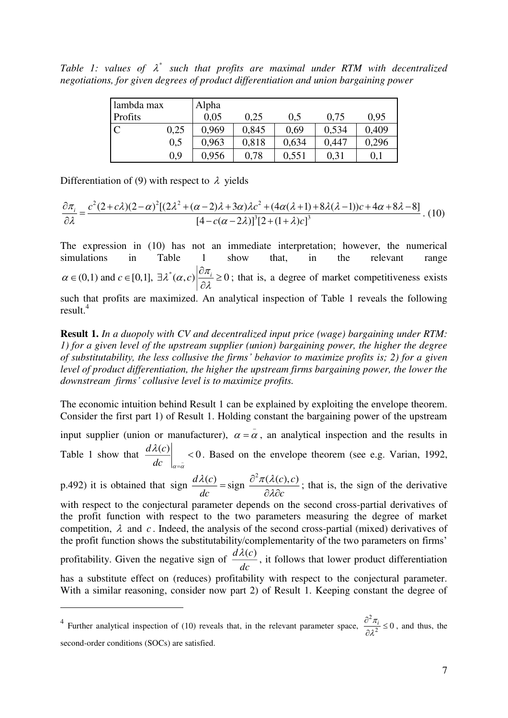Table 1: values of  $\lambda^*$  such that profits are maximal under RTM with decentralized *negotiations, for given degrees of product differentiation and union bargaining power* 

| lambda max |      | Alpha |       |       |       |       |
|------------|------|-------|-------|-------|-------|-------|
| Profits    |      | 0.05  | 0.25  | 0,5   | 0.75  | 0.95  |
|            | 0,25 | 0.969 | 0,845 | 0.69  | 0,534 | 0,409 |
|            | 0,5  | 0,963 | 0,818 | 0,634 | 0,447 | 0,296 |
|            | 0.9  | 0,956 | 0.78  | 0,551 | 0,31  | 0,1   |

Differentiation of (9) with respect to  $\lambda$  yields

-

$$
\frac{\partial \pi_i}{\partial \lambda} = \frac{c^2 (2 + c\lambda)(2 - \alpha)^2 [(2\lambda^2 + (\alpha - 2)\lambda + 3\alpha)\lambda c^2 + (4\alpha(\lambda + 1) + 8\lambda(\lambda - 1))c + 4\alpha + 8\lambda - 8]}{[4 - c(\alpha - 2\lambda)]^3 [2 + (1 + \lambda)c]^3}.
$$
(10)

The expression in (10) has not an immediate interpretation; however, the numerical simulations in Table 1 show that, in the relevant range  $\alpha \in (0,1)$  and  $c \in [0,1]$ ,  $\exists \lambda^*(\alpha, c) \left| \frac{\partial \pi_i}{\partial \lambda} \ge 0 \right|$  $\in (0,1)$  and  $c \in [0,1]$ ,  $\exists \lambda^*(\alpha,c) \left| \frac{\partial \pi_i}{\partial s} \right| \geq$  $\hat{o}$ ; that is, a degree of market competitiveness exists such that profits are maximized. An analytical inspection of Table 1 reveals the following result.<sup>4</sup>

**Result 1.** *In a duopoly with CV and decentralized input price (wage) bargaining under RTM: 1) for a given level of the upstream supplier (union) bargaining power, the higher the degree of substitutability, the less collusive the firms' behavior to maximize profits is; 2) for a given level of product differentiation, the higher the upstream firms bargaining power, the lower the downstream firms' collusive level is to maximize profits.* 

The economic intuition behind Result 1 can be explained by exploiting the envelope theorem. Consider the first part 1) of Result 1. Holding constant the bargaining power of the upstream

input supplier (union or manufacturer),  $\alpha = \alpha$ , an analytical inspection and the results in Table 1 show that  $\frac{d\lambda(c)}{dc}$  < 0  $dc \mid _{a=\bar{a}}$  $\lambda$ 1  $< 0$ . Based on the envelope theorem (see e.g. Varian, 1992,

p.492) it is obtained that  $\text{sign}\ \frac{d\lambda(c)}{d\lambda} = \text{sign}\ \frac{\partial^2 \pi(\lambda(c), c)}{\partial \lambda(c)}$ *dc c ∂λ∂c*  $\lambda(c)$  .  $\partial^2 \pi(\lambda)$ λi  $=\text{sign}\ \frac{\partial^2 \pi(\lambda)}{\partial \lambda \partial}$ ; that is, the sign of the derivative with respect to the conjectural parameter depends on the second cross-partial derivatives of the profit function with respect to the two parameters measuring the degree of market competition,  $\lambda$  and  $c$ . Indeed, the analysis of the second cross-partial (mixed) derivatives of the profit function shows the substitutability/complementarity of the two parameters on firms' profitability. Given the negative sign of  $\frac{d\lambda(c)}{dc}$  $\frac{\lambda(c)}{1}$ , it follows that lower product differentiation has a substitute effect on (reduces) profitability with respect to the conjectural parameter. With a similar reasoning, consider now part 2) of Result 1. Keeping constant the degree of

<sup>&</sup>lt;sup>4</sup> Further analytical inspection of (10) reveals that, in the relevant parameter space, 2  $\frac{\pi_i}{2^2} \leq 0$  $\lambda$  $\frac{\partial^2 \pi_i}{\partial \overline{\partial}} \leq$  $\hat{c}$ , and thus, the second-order conditions (SOCs) are satisfied.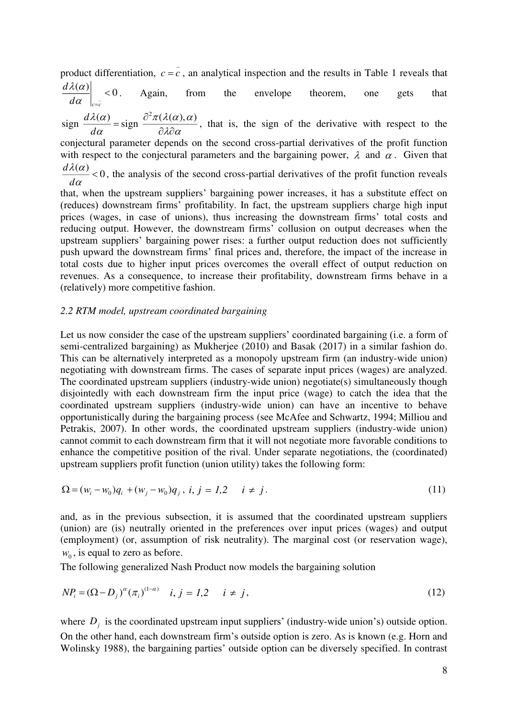product differentiation,  $c = c$ , an analytical inspection and the results in Table 1 reveals that  $\left| \frac{(\alpha)}{\alpha} \right|$  < 0 *d*  $\lambda(\alpha)$ . Again, from the envelope theorem, one gets that

 $c = c$ *d*  $\alpha \mid_{c=1}$  $\lambda(\alpha)$   $\partial^2 \pi(\lambda(\alpha), \alpha)$ 

 $sign \frac{d\lambda(\alpha)}{d\alpha} = sign \frac{\partial^2 \pi(\lambda(\alpha), \alpha)}{\partial \lambda \partial \alpha}$  $\alpha$   $\partial \lambda \partial \alpha$  $=\text{sign}\ \frac{\partial^2 \pi(\lambda)}{\partial \lambda \partial}$ , that is, the sign of the derivative with respect to the

conjectural parameter depends on the second cross-partial derivatives of the profit function with respect to the conjectural parameters and the bargaining power,  $\lambda$  and  $\alpha$ . Given that  $\frac{d\lambda(\alpha)}{d}$  < 0 *d*  $\lambda(\alpha)$  $\frac{d^{(2)}}{dx}$  < 0, the analysis of the second cross-partial derivatives of the profit function reveals

that, when the upstream suppliers' bargaining power increases, it has a substitute effect on (reduces) downstream firms' profitability. In fact, the upstream suppliers charge high input prices (wages, in case of unions), thus increasing the downstream firms' total costs and reducing output. However, the downstream firms' collusion on output decreases when the upstream suppliers' bargaining power rises: a further output reduction does not sufficiently push upward the downstream firms' final prices and, therefore, the impact of the increase in total costs due to higher input prices overcomes the overall effect of output reduction on revenues. As a consequence, to increase their profitability, downstream firms behave in a (relatively) more competitive fashion.

#### *2.2 RTM model, upstream coordinated bargaining*

Let us now consider the case of the upstream suppliers' coordinated bargaining (i.e. a form of semi-centralized bargaining) as Mukherjee (2010) and Basak (2017) in a similar fashion do. This can be alternatively interpreted as a monopoly upstream firm (an industry-wide union) negotiating with downstream firms. The cases of separate input prices (wages) are analyzed. The coordinated upstream suppliers (industry-wide union) negotiate(s) simultaneously though disjointedly with each downstream firm the input price (wage) to catch the idea that the coordinated upstream suppliers (industry-wide union) can have an incentive to behave opportunistically during the bargaining process (see McAfee and Schwartz, 1994; Milliou and Petrakis, 2007). In other words, the coordinated upstream suppliers (industry-wide union) cannot commit to each downstream firm that it will not negotiate more favorable conditions to enhance the competitive position of the rival. Under separate negotiations, the (coordinated) upstream suppliers profit function (union utility) takes the following form:

$$
\Omega = (w_i - w_0)q_i + (w_j - w_0)q_j, \ i, j = 1, 2 \quad i \neq j. \tag{11}
$$

and, as in the previous subsection, it is assumed that the coordinated upstream suppliers (union) are (is) neutrally oriented in the preferences over input prices (wages) and output (employment) (or, assumption of risk neutrality). The marginal cost (or reservation wage),  $w_0$ , is equal to zero as before.

The following generalized Nash Product now models the bargaining solution

$$
NP_i = (\Omega - D_j)^{\alpha} (\pi_i)^{(1-\alpha)} \quad i, j = 1, 2 \quad i \neq j,
$$
\n(12)

where  $D_j$  is the coordinated upstream input suppliers' (industry-wide union's) outside option. On the other hand, each downstream firm's outside option is zero. As is known (e.g. Horn and Wolinsky 1988), the bargaining parties' outside option can be diversely specified. In contrast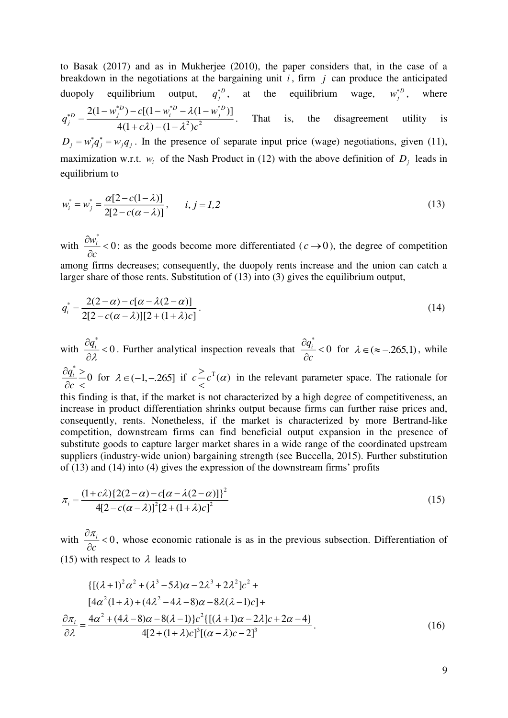to Basak (2017) and as in Mukherjee (2010), the paper considers that, in the case of a breakdown in the negotiations at the bargaining unit *<sup>i</sup>* , firm *j* can produce the anticipated duopoly equilibrium output,  $q_j^*$ , at the equilibrium wage,  $w_j^*$ , where \* $D_{\lambda}$  of  $(1 \dots {}^{*}D - 1(1 \dots {}^{*}D))$  $2\lambda a^2$  $2(1 - w_i^{*D}) - c[(1 - w_i^{*D} - \lambda(1 - w_i^{*D}))]$  $4(1 + c\lambda) - (1 - \lambda^2)$  $D_1$   $_2$   $_3$   $_4$   $_5$   $_2$   $_3$   $_4$   $_2$   $_4$   $_5$   $_2$   $_4$   $_5$   $_2$   $_4$   $_5$   $_2$   $_4$   $_5$   $_2$   $_3$   $_4$   $_5$   $_6$   $_7$   $_8$   $_7$   $_8$   $_7$   $_8$   $_7$   $_8$   $_7$   $_8$   $_7$   $_8$   $_7$   $_8$   $_8$   $_9$   $_8$   $_9$   $_8$   $D = \frac{2(1 - w_j)}{w_j}$   $C_1(1 - w_i)$   $C_2(1 - w_j)$ *j*  $w_i^{\ast D}$ ) –  $c[(1-w_i^{\ast D}-\lambda(1-w_i^{\ast D}))$ *q*  $c\lambda$ ) –  $(1 - \lambda^2)c$  $\lambda$  $\lambda$ ) – (1 –  $\lambda^2$  $\mu_{*D} = 2(1 - w_j^{*D}) - c[(1 - w_i^{*D} - \lambda(1 =$  $+c\lambda$ ) – (1 – . That is, the disagreement utility is  $D_j = w_j^* q_j^* = w_j q_j$ . In the presence of separate input price (wage) negotiations, given (11), maximization w.r.t.  $w_i$  of the Nash Product in (12) with the above definition of  $D_j$  leads in equilibrium to

$$
w_i^* = w_j^* = \frac{\alpha[2 - c(1 - \lambda)]}{2[2 - c(\alpha - \lambda)]}, \qquad i, j = 1, 2
$$
\n(13)

with  $\frac{w_i^*}{q} < 0$ *c*  $\frac{\partial w_i^*}{\partial c}$  < 0: as the goods become more differentiated ( $c \rightarrow 0$ ), the degree of competition among firms decreases; consequently, the duopoly rents increase and the union can catch a larger share of those rents. Substitution of (13) into (3) gives the equilibrium output,

$$
q_i^* = \frac{2(2-\alpha) - c[\alpha - \lambda(2-\alpha)]}{2[2 - c(\alpha - \lambda)][2 + (1+\lambda)c]}.
$$
\n(14)

with  $\frac{q_{\scriptscriptstyle i}^*}{2}$   $<$   $0$ λ  $\frac{\partial q_i^*}{\partial \lambda}$  < 0. Further analytical inspection reveals that  $\frac{q_i^*}{q} < 0$ *c*  $\frac{\partial q_i^*}{\partial c}$  < 0 for  $\lambda \in (\approx -.265,1)$ , while \*  $\frac{q_i^*}{q_0^*} \geq 0$ *c*  $\partial q_i^* >$  $\partial c$  < for  $\lambda \in (-1, -.265]$  if  $c^{\geq} c^{\top}(\alpha)$  $\leq c^{1}(\alpha)$  in the relevant parameter space. The rationale for this finding is that, if the market is not characterized by a high degree of competitiveness, an increase in product differentiation shrinks output because firms can further raise prices and, consequently, rents. Nonetheless, if the market is characterized by more Bertrand-like competition, downstream firms can find beneficial output expansion in the presence of substitute goods to capture larger market shares in a wide range of the coordinated upstream suppliers (industry-wide union) bargaining strength (see Buccella, 2015). Further substitution of (13) and (14) into (4) gives the expression of the downstream firms' profits

$$
\pi_i = \frac{(1+c\lambda)\{2(2-\alpha) - c[\alpha - \lambda(2-\alpha)]\}^2}{4[2 - c(\alpha - \lambda)]^2 [2 + (1+\lambda)c]^2}
$$
\n(15)

with  $\frac{\partial u_i}{\partial t} < 0$ *c*  $\frac{\partial \pi_i}{\partial c}$  < 0, whose economic rationale is as in the previous subsection. Differentiation of (15) with respect to  $\lambda$  leads to

$$
\{[(\lambda+1)^{2}\alpha^{2}+(\lambda^{3}-5\lambda)\alpha-2\lambda^{3}+2\lambda^{2}]c^{2} + [4\alpha^{2}(1+\lambda)+(4\lambda^{2}-4\lambda-8)\alpha-8\lambda(\lambda-1)c] +
$$
  
\n
$$
\frac{\partial\pi_{i}}{\partial\lambda} = \frac{4\alpha^{2}+(4\lambda-8)\alpha-8(\lambda-1)\}c^{2}\{[(\lambda+1)\alpha-2\lambda]c+2\alpha-4\}}{4[2+(1+\lambda)c]^{3}[(\alpha-\lambda)c-2]^{3}}.
$$
\n(16)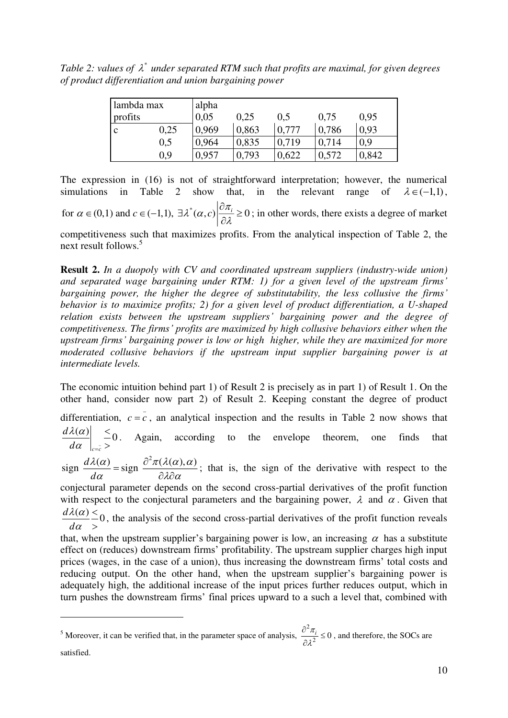Table 2: values of  $\lambda^*$  under separated RTM such that profits are maximal, for given degrees *of product differentiation and union bargaining power* 

| lambda max  |      | alpha |       |       |       |       |  |  |  |
|-------------|------|-------|-------|-------|-------|-------|--|--|--|
| profits     |      | 0,05  | 0,25  | 0.5   | 0,75  | 0.95  |  |  |  |
| $\mathbf c$ | 0,25 | 0,969 | 0,863 | 0,777 | 0,786 | 0.93  |  |  |  |
|             | 0,5  | 0,964 | 0,835 | 0,719 | 0,714 | 0,9   |  |  |  |
|             | 0.9  | 0,957 | 0,793 | 0,622 | 0,572 | 0,842 |  |  |  |

The expression in (16) is not of straightforward interpretation; however, the numerical simulations in Table 2 show that, in the relevant range of  $\lambda \in (-1,1)$ , for  $\alpha \in (0,1)$  and  $c \in (-1,1)$ ,  $\exists \lambda^*(\alpha, c) \left| \frac{\partial \pi_i}{\partial \lambda} \ge 0 \right|$  $\in (0,1)$  and  $c \in (-1,1)$ ,  $\exists \lambda^*(\alpha,c)$   $\frac{\partial \pi_i}{\partial s} \ge$  $\partial$ ; in other words, there exists a degree of market competitiveness such that maximizes profits. From the analytical inspection of Table 2, the next result follows.<sup>5</sup>

**Result 2.** *In a duopoly with CV and coordinated upstream suppliers (industry-wide union) and separated wage bargaining under RTM: 1) for a given level of the upstream firms' bargaining power, the higher the degree of substitutability, the less collusive the firms' behavior is to maximize profits; 2) for a given level of product differentiation, a U-shaped relation exists between the upstream suppliers' bargaining power and the degree of competitiveness. The firms' profits are maximized by high collusive behaviors either when the upstream firms' bargaining power is low or high higher, while they are maximized for more moderated collusive behaviors if the upstream input supplier bargaining power is at intermediate levels.* 

The economic intuition behind part 1) of Result 2 is precisely as in part 1) of Result 1. On the other hand, consider now part 2) of Result 2. Keeping constant the degree of product

differentiation,  $c = c$ , an analytical inspection and the results in Table 2 now shows that  $\left| \frac{\alpha}{\alpha} \right| \leq 0$  $c = c$ *d d*  $\lambda(\alpha)$  $\alpha \mid_{c=1}$  $\lt$  $>$ . Again, according to the envelope theorem, one finds that

 $sign \frac{d\lambda(\alpha)}{d\alpha} = sign \frac{\partial^2 \pi(\lambda(\alpha), \alpha)}{\partial \lambda \partial \alpha}$  $\lambda(\alpha)$   $\partial^2 \pi(\lambda(\alpha), \alpha)$  $\alpha$   $\partial \lambda \partial \alpha$  $=\text{sign}\ \frac{\partial^2 \pi(\lambda)}{\partial \lambda \partial}$ ; that is, the sign of the derivative with respect to the

conjectural parameter depends on the second cross-partial derivatives of the profit function with respect to the conjectural parameters and the bargaining power,  $\lambda$  and  $\alpha$ . Given that  $\frac{d\lambda(\alpha)}{d\alpha} \leq 0$ *d*  $\lambda(\alpha)$  $\lt$  $\geq$ , the analysis of the second cross-partial derivatives of the profit function reveals

 $\alpha$ 

-

that, when the upstream supplier's bargaining power is low, an increasing  $\alpha$  has a substitute effect on (reduces) downstream firms' profitability. The upstream supplier charges high input prices (wages, in the case of a union), thus increasing the downstream firms' total costs and reducing output. On the other hand, when the upstream supplier's bargaining power is adequately high, the additional increase of the input prices further reduces output, which in turn pushes the downstream firms' final prices upward to a such a level that, combined with

 $<sup>5</sup>$  Moreover, it can be verified that, in the parameter space of analysis,</sup> 2  $\frac{\pi_i}{2^2} \leq 0$  $\lambda^{\cdot}$  $\frac{\partial^2 \pi_i}{\partial \overline{\partial}} \leq$  $\hat{c}$ , and therefore, the SOCs are satisfied.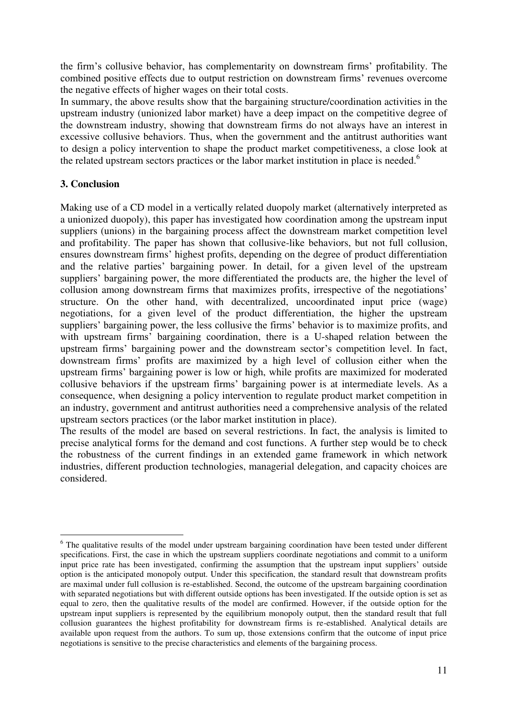the firm's collusive behavior, has complementarity on downstream firms' profitability. The combined positive effects due to output restriction on downstream firms' revenues overcome the negative effects of higher wages on their total costs.

In summary, the above results show that the bargaining structure/coordination activities in the upstream industry (unionized labor market) have a deep impact on the competitive degree of the downstream industry, showing that downstream firms do not always have an interest in excessive collusive behaviors. Thus, when the government and the antitrust authorities want to design a policy intervention to shape the product market competitiveness, a close look at the related upstream sectors practices or the labor market institution in place is needed.<sup>6</sup>

## **3. Conclusion**

Making use of a CD model in a vertically related duopoly market (alternatively interpreted as a unionized duopoly), this paper has investigated how coordination among the upstream input suppliers (unions) in the bargaining process affect the downstream market competition level and profitability. The paper has shown that collusive-like behaviors, but not full collusion, ensures downstream firms' highest profits, depending on the degree of product differentiation and the relative parties' bargaining power. In detail, for a given level of the upstream suppliers' bargaining power, the more differentiated the products are, the higher the level of collusion among downstream firms that maximizes profits, irrespective of the negotiations' structure. On the other hand, with decentralized, uncoordinated input price (wage) negotiations, for a given level of the product differentiation, the higher the upstream suppliers' bargaining power, the less collusive the firms' behavior is to maximize profits, and with upstream firms' bargaining coordination, there is a U-shaped relation between the upstream firms' bargaining power and the downstream sector's competition level. In fact, downstream firms' profits are maximized by a high level of collusion either when the upstream firms' bargaining power is low or high, while profits are maximized for moderated collusive behaviors if the upstream firms' bargaining power is at intermediate levels. As a consequence, when designing a policy intervention to regulate product market competition in an industry, government and antitrust authorities need a comprehensive analysis of the related upstream sectors practices (or the labor market institution in place).

The results of the model are based on several restrictions. In fact, the analysis is limited to precise analytical forms for the demand and cost functions. A further step would be to check the robustness of the current findings in an extended game framework in which network industries, different production technologies, managerial delegation, and capacity choices are considered.

<sup>&</sup>lt;u>.</u> <sup>6</sup> The qualitative results of the model under upstream bargaining coordination have been tested under different specifications. First, the case in which the upstream suppliers coordinate negotiations and commit to a uniform input price rate has been investigated, confirming the assumption that the upstream input suppliers' outside option is the anticipated monopoly output. Under this specification, the standard result that downstream profits are maximal under full collusion is re-established. Second, the outcome of the upstream bargaining coordination with separated negotiations but with different outside options has been investigated. If the outside option is set as equal to zero, then the qualitative results of the model are confirmed. However, if the outside option for the upstream input suppliers is represented by the equilibrium monopoly output, then the standard result that full collusion guarantees the highest profitability for downstream firms is re-established. Analytical details are available upon request from the authors. To sum up, those extensions confirm that the outcome of input price negotiations is sensitive to the precise characteristics and elements of the bargaining process.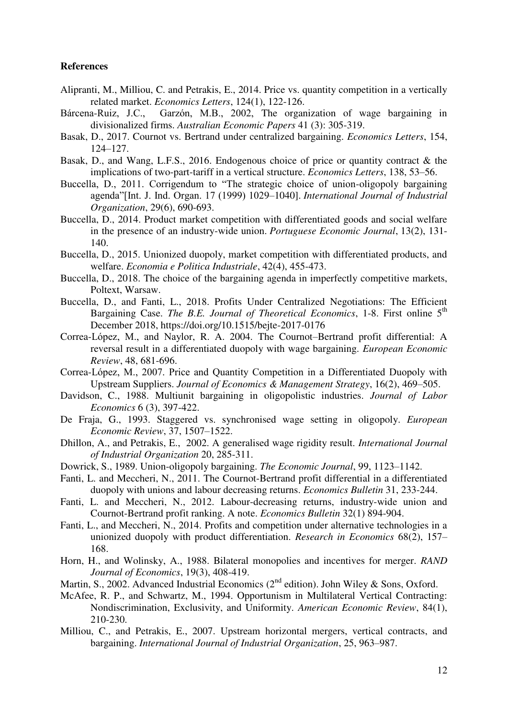### **References**

- Alipranti, M., Milliou, C. and Petrakis, E., 2014. Price vs. quantity competition in a vertically related market. *Economics Letters*, 124(1), 122-126.
- Bárcena-Ruiz, J.C., Garzón, M.B., 2002, The organization of wage bargaining in divisionalized firms. *Australian Economic Papers* 41 (3): 305-319.
- Basak, D., 2017. Cournot vs. Bertrand under centralized bargaining. *Economics Letters*, 154, 124–127.
- Basak, D., and Wang, L.F.S., 2016. Endogenous choice of price or quantity contract & the implications of two-part-tariff in a vertical structure. *Economics Letters*, 138, 53–56.
- Buccella, D., 2011. Corrigendum to "The strategic choice of union-oligopoly bargaining agenda"[Int. J. Ind. Organ. 17 (1999) 1029–1040]. *International Journal of Industrial Organization*, 29(6), 690-693.
- Buccella, D., 2014. Product market competition with differentiated goods and social welfare in the presence of an industry-wide union. *Portuguese Economic Journal*, 13(2), 131- 140.
- Buccella, D., 2015. Unionized duopoly, market competition with differentiated products, and welfare. *Economia e Politica Industriale*, 42(4), 455-473.
- Buccella, D., 2018. The choice of the bargaining agenda in imperfectly competitive markets, Poltext, Warsaw.
- Buccella, D., and Fanti, L., 2018. Profits Under Centralized Negotiations: The Efficient Bargaining Case. *The B.E. Journal of Theoretical Economics*, 1-8. First online 5<sup>th</sup> December 2018, https://doi.org/10.1515/bejte-2017-0176
- Correa-López, M., and Naylor, R. A. 2004. The Cournot–Bertrand profit differential: A reversal result in a differentiated duopoly with wage bargaining. *European Economic Review*, 48, 681-696.
- Correa-López, M., 2007. Price and Quantity Competition in a Differentiated Duopoly with Upstream Suppliers. *Journal of Economics & Management Strategy*, 16(2), 469–505.
- Davidson, C., 1988. Multiunit bargaining in oligopolistic industries. *Journal of Labor Economics* 6 (3), 397-422.
- De Fraja, G., 1993. Staggered vs. synchronised wage setting in oligopoly. *European Economic Review*, 37, 1507–1522.
- Dhillon, A., and Petrakis, E., 2002. A generalised wage rigidity result. *International Journal of Industrial Organization* 20, 285-311.
- Dowrick, S., 1989. Union-oligopoly bargaining. *The Economic Journal*, 99, 1123–1142.
- Fanti, L. and Meccheri, N., 2011. The Cournot-Bertrand profit differential in a differentiated duopoly with unions and labour decreasing returns. *Economics Bulletin* 31, 233-244.
- Fanti, L. and Meccheri, N., 2012. Labour-decreasing returns, industry-wide union and Cournot-Bertrand profit ranking. A note. *Economics Bulletin* 32(1) 894-904.
- Fanti, L., and Meccheri, N., 2014. Profits and competition under alternative technologies in a unionized duopoly with product differentiation. *Research in Economics* 68(2), 157– 168.
- Horn, H., and Wolinsky, A., 1988. Bilateral monopolies and incentives for merger. *RAND Journal of Economics*, 19(3), 408-419.
- Martin, S., 2002. Advanced Industrial Economics ( $2^{nd}$  edition). John Wiley & Sons, Oxford.
- McAfee, R. P., and Schwartz, M., 1994. Opportunism in Multilateral Vertical Contracting: Nondiscrimination, Exclusivity, and Uniformity. *American Economic Review*, 84(1), 210-230.
- Milliou, C., and Petrakis, E., 2007. Upstream horizontal mergers, vertical contracts, and bargaining. *International Journal of Industrial Organization*, 25, 963–987.